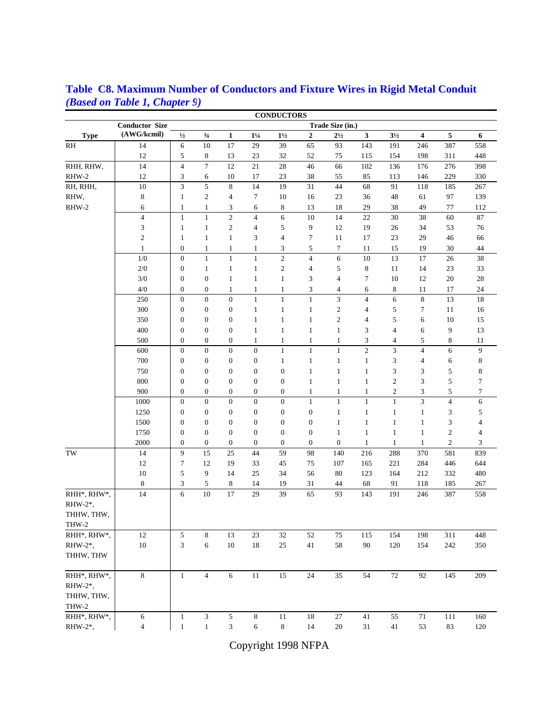|             |                             |                  |                  |                          |                  | <b>CONDUCTORS</b> |                  |                             |                |                 |                         |                         |                          |
|-------------|-----------------------------|------------------|------------------|--------------------------|------------------|-------------------|------------------|-----------------------------|----------------|-----------------|-------------------------|-------------------------|--------------------------|
|             | <b>Conductor Size</b>       | Trade Size (in.) |                  |                          |                  |                   |                  |                             |                |                 |                         |                         |                          |
| <b>Type</b> | (AWG/kcmil)                 | $1/2$            | $\frac{3}{4}$    | $\mathbf{1}$             | $1\frac{1}{4}$   | $1\frac{1}{2}$    | $\boldsymbol{2}$ | $2\frac{1}{2}$              | 3              | $3\frac{1}{2}$  | $\overline{\mathbf{4}}$ | 5                       | 6                        |
| RH          | 14                          | $\sqrt{6}$       | 10               | 17                       | 29               | 39                | 65               | 93                          | 143            | 191             | 246                     | 387                     | 558                      |
|             | 12                          | 5                | 8                | 13                       | 23               | 32                | 52               | 75                          | 115            | 154             | 198                     | 311                     | 448                      |
| RHH, RHW,   | 14                          | $\overline{4}$   | $\boldsymbol{7}$ | 12                       | 21               | 28                | 46               | 66                          | 102            | 136             | 176                     | 276                     | 398                      |
| RHW-2       | 12                          | $\mathfrak{Z}$   | 6                | 10                       | 17               | 23                | 38               | 55                          | 85             | 113             | 146                     | 229                     | 330                      |
| RH, RHH,    | 10                          | 3                | 5                | 8                        | 14               | 19                | 31               | 44                          | 68             | 91              | 118                     | 185                     | 267                      |
| RHW,        | 8                           | $\mathbf{1}$     | $\boldsymbol{2}$ | $\overline{\mathcal{L}}$ | $\tau$           | 10                | 16               | 23                          | 36             | 48              | 61                      | 97                      | 139                      |
| RHW-2       | 6                           | $\mathbf{1}$     | $\mathbf{1}$     | 3                        | 6                | 8                 | 13               | 18                          | 29             | 38              | 49                      | 77                      | 112                      |
|             | $\overline{4}$              | $\mathbf{1}$     | $1\,$            | $\boldsymbol{2}$         | $\overline{4}$   | $\sqrt{6}$        | $10\,$           | 14                          | 22             | 30              | 38                      | 60                      | 87                       |
|             | $\ensuremath{\mathfrak{Z}}$ | $\mathbf{1}$     | $\mathbf{1}$     | $\sqrt{2}$               | $\overline{4}$   | 5                 | 9                | 12                          | 19             | 26              | 34                      | 53                      | 76                       |
|             | $\sqrt{2}$                  | $\mathbf{1}$     | $\mathbf 1$      | $\mathbf{1}$             | 3                | $\overline{4}$    | $\boldsymbol{7}$ | 11                          | 17             | 23              | 29                      | 46                      | 66                       |
|             | $\mathbf{1}$                | $\mathbf{0}$     | $\mathbf{1}$     | $\mathbf{1}$             | $\mathbf{1}$     | 3                 | $\sqrt{5}$       | $\boldsymbol{7}$            | 11             | 15              | 19                      | 30                      | 44                       |
|             | 1/0                         | $\mathbf{0}$     | $\mathbf{1}$     | $\mathbf{1}$             | $\mathbf{1}$     | $\overline{c}$    | $\overline{4}$   | 6                           | 10             | 13              | 17                      | 26                      | 38                       |
|             | 2/0                         | $\boldsymbol{0}$ | $\mathbf{1}$     | $\mathbf{1}$             | $\mathbf{1}$     | $\boldsymbol{2}$  | $\overline{4}$   | 5                           | $\,$ 8 $\,$    | 11              | 14                      | 23                      | 33                       |
|             | $3/0$                       | $\mathbf{0}$     | $\boldsymbol{0}$ | $\mathbf{1}$             | $\mathbf{1}$     | $\mathbf{1}$      | 3                | $\overline{4}$              | $\tau$         | 10              | 12                      | $20\,$                  | $28\,$                   |
|             | 4/0                         | $\boldsymbol{0}$ | $\boldsymbol{0}$ | $\mathbf{1}$             | $\mathbf{1}$     | $\mathbf{1}$      | 3                | $\overline{4}$              | 6              | 8               | 11                      | 17                      | 24                       |
|             | 250                         | $\boldsymbol{0}$ | $\boldsymbol{0}$ | $\boldsymbol{0}$         | $\mathbf{1}$     | $\mathbf{1}$      | $\,1\,$          | $\ensuremath{\mathfrak{Z}}$ | $\overline{4}$ | $\sqrt{6}$      | $\,$ 8 $\,$             | 13                      | 18                       |
|             | 300                         | $\boldsymbol{0}$ | $\boldsymbol{0}$ | $\boldsymbol{0}$         | $\mathbf{1}$     | $\mathbf{1}$      | $\mathbf{1}$     | $\overline{c}$              | 4              | 5               | 7                       | 11                      | 16                       |
|             | 350                         | $\mathbf{0}$     | $\boldsymbol{0}$ | $\boldsymbol{0}$         | $\mathbf{1}$     | $\,1\,$           | $\mathbf{1}$     | $\overline{c}$              | 4              | $\sqrt{5}$      | 6                       | 10                      | 15                       |
|             | 400                         | $\mathbf{0}$     | $\boldsymbol{0}$ | $\boldsymbol{0}$         | $\mathbf{1}$     | $\mathbf{1}$      | $\mathbf{1}$     | $\mathbf{1}$                | 3              | $\overline{4}$  | 6                       | 9                       | 13                       |
|             | 500                         | $\boldsymbol{0}$ | $\boldsymbol{0}$ | $\boldsymbol{0}$         | $\mathbf{1}$     | 1                 | $\mathbf{1}$     | $\mathbf{1}$                | 3              | $\overline{4}$  | 5                       | 8                       | 11                       |
|             | 600                         | $\boldsymbol{0}$ | $\boldsymbol{0}$ | $\boldsymbol{0}$         | $\overline{0}$   | $\mathbf{1}$      | $1\,$            | $\mathbf{1}$                | $\mathfrak{2}$ | 3               | 4                       | 6                       | $\overline{9}$           |
|             | 700                         | $\mathbf{0}$     | $\boldsymbol{0}$ | $\boldsymbol{0}$         | $\boldsymbol{0}$ | $\mathbf{1}$      | $\mathbf{1}$     | $\mathbf{1}$                | $\mathbf{1}$   | 3               | 4                       | 6                       | 8                        |
|             | 750                         | $\mathbf{0}$     | $\boldsymbol{0}$ | $\boldsymbol{0}$         | $\boldsymbol{0}$ | $\boldsymbol{0}$  | $\mathbf{1}$     | $\mathbf{1}$                | $\mathbf{1}$   | 3               | 3                       | 5                       | 8                        |
|             | 800                         | $\boldsymbol{0}$ | $\boldsymbol{0}$ | $\boldsymbol{0}$         | $\boldsymbol{0}$ | $\boldsymbol{0}$  | $\mathbf{1}$     | $\mathbf{1}$                | $\mathbf{1}$   | $\mathfrak{2}$  | $\mathfrak{Z}$          | 5                       | 7                        |
|             | 900                         | $\boldsymbol{0}$ | $\boldsymbol{0}$ | $\boldsymbol{0}$         | $\boldsymbol{0}$ | $\boldsymbol{0}$  | $\mathbf{1}$     | $\mathbf{1}$                | $\,1$          | $\sqrt{2}$      | 3                       | 5                       | 7                        |
|             | 1000                        | $\boldsymbol{0}$ | $\overline{0}$   | $\overline{0}$           | $\overline{0}$   | $\overline{0}$    | $\mathbf{1}$     | $\mathbf{1}$                | $\mathbf{1}$   | $\mathbf{1}$    | $\overline{\mathbf{3}}$ | $\overline{\mathbf{4}}$ | 6                        |
|             | 1250                        | $\boldsymbol{0}$ | $\boldsymbol{0}$ | $\boldsymbol{0}$         | $\boldsymbol{0}$ | $\boldsymbol{0}$  | $\boldsymbol{0}$ | $\mathbf{1}$                | $\mathbf{1}$   | $\mathbf{1}$    | $\mathbf{1}$            | 3                       | 5                        |
|             | 1500                        | $\boldsymbol{0}$ | $\boldsymbol{0}$ | $\boldsymbol{0}$         | $\boldsymbol{0}$ | $\boldsymbol{0}$  | $\boldsymbol{0}$ | $\mathbf{1}$                | $\mathbf{1}$   | $\mathbf{1}$    | 1                       | 3                       | 4                        |
|             | 1750                        | $\boldsymbol{0}$ | $\boldsymbol{0}$ | $\mathbf{0}$             | $\mathbf{0}$     | $\boldsymbol{0}$  | $\boldsymbol{0}$ | $\mathbf{1}$                | $\mathbf{1}$   | $\mathbf{1}$    | $\mathbf{1}$            | $\mathbf{2}$            | $\overline{\mathcal{A}}$ |
|             | 2000                        | $\boldsymbol{0}$ | $\boldsymbol{0}$ | $\mathbf{0}$             | $\mathbf{0}$     | $\boldsymbol{0}$  | $\boldsymbol{0}$ | $\mathbf{0}$                | $\mathbf{1}$   | $\mathbf{1}$    | $\mathbf{1}$            | $\mathbf{2}$            | 3                        |
| TW          | 14                          | 9                | 15               | 25                       | 44               | 59                | 98               | 140                         | 216            | 288             | 370                     | 581                     | 839                      |
|             | 12                          | $\boldsymbol{7}$ | 12               | 19                       | 33               | 45                | 75               | 107                         | 165            | 221             | 284                     | 446                     | 644                      |
|             | 10                          | 5                | 9                | 14                       | 25               | 34                | 56               | 80                          | 123            | 164             | 212                     | 332                     | 480                      |
|             | 8                           | $\mathfrak{Z}$   | 5                | 8                        | 14               | 19                | 31               | 44                          | 68             | 91              | 118                     | 185                     | 267                      |
| RHH*, RHW*, | 14                          | 6                | 10               | 17                       | 29               | 39                | 65               | 93                          | 143            | 191             | 246                     | 387                     | 558                      |
| RHW-2*,     |                             |                  |                  |                          |                  |                   |                  |                             |                |                 |                         |                         |                          |
| THHW, THW,  |                             |                  |                  |                          |                  |                   |                  |                             |                |                 |                         |                         |                          |
| THW-2       |                             |                  |                  |                          |                  |                   |                  |                             |                |                 |                         |                         |                          |
| RHH*, RHW*, | 12                          | $\sqrt{5}$       | $\,8\,$          | 13                       | 23               | 32                | $52\,$           | $75\,$                      | 115            | 154             | 198                     | 311                     | 448                      |
| RHW-2*,     | $10\,$                      | 3                | 6                | $10\,$                   | $18\,$           | 25                | $41\,$           | 58                          | $90\,$         | $120\,$         | 154                     | 242                     | 350                      |
| THHW, THW   |                             |                  |                  |                          |                  |                   |                  |                             |                |                 |                         |                         |                          |
|             |                             |                  |                  |                          |                  |                   |                  |                             |                |                 |                         |                         |                          |
| RHH*, RHW*, | 8                           | $1\,$            | $\overline{4}$   | $\sqrt{6}$               | $\overline{11}$  | 15                | 24               | 35                          | 54             | $\overline{72}$ | 92                      | 145                     | 209                      |
| RHW-2*,     |                             |                  |                  |                          |                  |                   |                  |                             |                |                 |                         |                         |                          |
| THHW, THW,  |                             |                  |                  |                          |                  |                   |                  |                             |                |                 |                         |                         |                          |
| THW-2       |                             |                  |                  |                          |                  |                   |                  |                             |                |                 |                         |                         |                          |
| RHH*, RHW*, | 6                           | $\mathbf{1}$     | $\mathfrak z$    | $\sqrt{5}$               | 8                | $11\,$            | $18\,$           | $27\,$                      | 41             | 55              | $71\,$                  | 111                     | 160                      |
| RHW-2*,     | $\overline{4}$              |                  | $\,1$            | $\overline{3}$           | 6                |                   | 14               | $20\,$                      | $31\,$         | $41\,$          | 53                      | 83                      |                          |
|             |                             | $\,1\,$          |                  |                          |                  | $\,8$             |                  |                             |                |                 |                         |                         | 120                      |

## **Table C8. Maximum Number of Conductors and Fixture Wires in Rigid Metal Conduit** *(Based on Table 1, Chapter 9)*

Copyright 1998 NFPA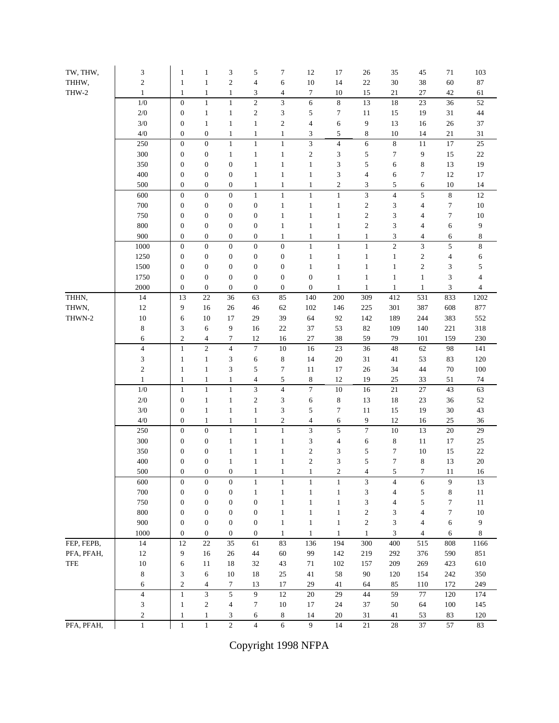| TW, THW,   | 3                           | $\mathbf{1}$              | $\mathbf{1}$                 | 3                        | 5                      | 7                           | 12                       | 17               | $26\,$                   | 35             | 45              | 71                      | 103            |
|------------|-----------------------------|---------------------------|------------------------------|--------------------------|------------------------|-----------------------------|--------------------------|------------------|--------------------------|----------------|-----------------|-------------------------|----------------|
| THHW,      | $\sqrt{2}$                  | $\mathbf{1}$              | $\mathbf{1}$                 | $\mathfrak{2}$           | $\overline{4}$         | 6                           | $10\,$                   | 14               | $22\,$                   | 30             | 38              | 60                      | $87\,$         |
| THW-2      | $\mathbf{1}$                | $\mathbf{1}$              | $\mathbf 1$                  | $\,1\,$                  | 3                      | 4                           | 7                        | 10               | 15                       | 21             | $27\,$          | $42\,$                  | 61             |
|            | $1/0\,$                     | $\mathbf{0}$              | $\mathbf 1$                  | $\mathbf{1}$             | $\overline{c}$         | $\mathfrak{Z}$              | 6                        | $\,8\,$          | 13                       | 18             | 23              | 36                      | 52             |
|            | $2/0\,$                     | $\boldsymbol{0}$          | $\,1$                        | $\,1$                    | $\boldsymbol{2}$       | $\ensuremath{\mathfrak{Z}}$ | 5                        | $\boldsymbol{7}$ | $11\,$                   | 15             | 19              | $31\,$                  | $44\,$         |
|            | $3/0$                       | $\mathbf{0}$              | $\mathbf 1$                  | $\mathbf{1}$             | $\mathbf{1}$           | $\mathfrak{2}$              | 4                        | 6                | 9                        | 13             | 16              | 26                      | $37\,$         |
|            | $4/0$                       | $\boldsymbol{0}$          | $\boldsymbol{0}$             | $\mathbf{1}$             | $\mathbf{1}$           | $\mathbf{1}$                | 3                        | $\sqrt{5}$       | 8                        | 10             | 14              | $21\,$                  | 31             |
|            | 250                         | $\boldsymbol{0}$          | $\boldsymbol{0}$             | $\,1$                    | $\mathbf{1}$           | $\mathbf 1$                 | 3                        | $\overline{4}$   | 6                        | $\,8\,$        | 11              | $17\,$                  | $25\,$         |
|            | 300                         | $\mathbf{0}$              | $\boldsymbol{0}$             | $\mathbf{1}$             | $\mathbf{1}$           | $\mathbf{1}$                | $\boldsymbol{2}$         | 3                | 5                        | 7              | 9               | $15\,$                  | $22\,$         |
|            | 350                         | $\boldsymbol{0}$          | $\boldsymbol{0}$             | $\boldsymbol{0}$         | $\mathbf{1}$           | $\mathbf{1}$                | $\mathbf{1}$             | 3                | 5                        | 6              | 8               | 13                      | 19             |
|            | 400                         | $\boldsymbol{0}$          | $\boldsymbol{0}$             | $\boldsymbol{0}$         | $\mathbf{1}$           | $\mathbf{1}$                | $\mathbf{1}$             | $\sqrt{3}$       | $\overline{\mathcal{L}}$ | 6              | $\tau$          | $12\,$                  | 17             |
|            | 500                         | $\boldsymbol{0}$          | $\boldsymbol{0}$             | $\boldsymbol{0}$         | $\mathbf{1}$           | $\mathbf{1}$                | $\mathbf{1}$             | $\sqrt{2}$       | 3                        | 5              | 6               | $10\,$                  | 14             |
|            | 600                         | $\mathbf{0}$              | $\boldsymbol{0}$             | $\boldsymbol{0}$         | $\mathbf{1}$           | $\mathbf{1}$                | $\mathbf{1}$             | $\mathbf{1}$     | 3                        | $\overline{4}$ | 5               | $\,$ 8 $\,$             | 12             |
|            | 700                         | $\boldsymbol{0}$          | $\boldsymbol{0}$             | $\boldsymbol{0}$         | $\boldsymbol{0}$       | $\mathbf{1}$                | $\mathbf{1}$             | $\mathbf 1$      | $\overline{c}$           | 3              | $\overline{4}$  | $\tau$                  | $10\,$         |
|            | 750                         | $\mathbf{0}$              | $\boldsymbol{0}$             | $\boldsymbol{0}$         | $\boldsymbol{0}$       | $\mathbf{1}$                | $\mathbf{1}$             | $\mathbf{1}$     | $\mathbf{c}$             | 3              | 4               | $\tau$                  | $10\,$         |
|            | 800                         | $\boldsymbol{0}$          | $\boldsymbol{0}$             | $\boldsymbol{0}$         | $\boldsymbol{0}$       | $\mathbf{1}$                | $\mathbf{1}$             | $\mathbf{1}$     | $\overline{\mathbf{c}}$  | 3              | 4               | 6                       | 9              |
|            | 900                         | $\mathbf{0}$              | $\boldsymbol{0}$             | $\boldsymbol{0}$         | $\boldsymbol{0}$       | $\mathbf{1}$                | $\mathbf{1}$             | $\mathbf{1}$     | $\mathbf{1}$             | 3              | 4               | 6                       | 8              |
|            | 1000                        | $\boldsymbol{0}$          | $\boldsymbol{0}$             | $\boldsymbol{0}$         | $\boldsymbol{0}$       | $\boldsymbol{0}$            | $\mathbf{1}$             | $\mathbf{1}$     | $\mathbf{1}$             | $\overline{c}$ | $\mathfrak{Z}$  | $\sqrt{5}$              | $\,8\,$        |
|            | 1250                        | $\boldsymbol{0}$          | $\boldsymbol{0}$             | $\boldsymbol{0}$         | $\mathbf{0}$           | $\boldsymbol{0}$            | $\mathbf{1}$             | $\mathbf 1$      | $\,1$                    | $\mathbf{1}$   | $\sqrt{2}$      | $\overline{\mathbf{4}}$ | 6              |
|            | 1500                        | $\boldsymbol{0}$          | $\boldsymbol{0}$             | $\boldsymbol{0}$         | $\boldsymbol{0}$       | $\boldsymbol{0}$            | $\mathbf{1}$             | $\mathbf{1}$     | $\,1$                    | $\mathbf{1}$   | $\sqrt{2}$      | 3                       | 5              |
|            | 1750                        | $\boldsymbol{0}$          | $\boldsymbol{0}$             | $\boldsymbol{0}$         | $\boldsymbol{0}$       | $\boldsymbol{0}$            | $\boldsymbol{0}$         | $\mathbf{1}$     | $\,1$                    | $\mathbf{1}$   | $\mathbf{1}$    | 3                       | $\overline{4}$ |
|            | 2000                        | $\boldsymbol{0}$          | $\boldsymbol{0}$             | $\boldsymbol{0}$         | $\mathbf{0}$           | $\boldsymbol{0}$            | $\boldsymbol{0}$         | $\mathbf{1}$     | $\mathbf{1}$             | $\mathbf{1}$   | $\mathbf{1}$    | 3                       | $\overline{4}$ |
| THHN,      | 14                          | 13                        | $22\,$                       | 36                       | 63                     | 85                          | 140                      | 200              | 309                      | 412            | 531             | 833                     | 1202           |
| THWN,      | 12                          | 9                         | 16                           | 26                       | 46                     | 62                          | 102                      | 146              | 225                      | 301            | 387             | 608                     | 877            |
| THWN-2     | 10                          | 6                         | 10                           | 17                       | 29                     | 39                          | 64                       | 92               | 142                      | 189            | 244             | 383                     | 552            |
|            | $\,8\,$                     | $\mathfrak{Z}$            | 6                            | 9                        | 16                     | 22                          | 37                       | 53               | 82                       | 109            | 140             | 221                     | 318            |
|            | 6<br>$\overline{4}$         | $\sqrt{2}$<br>$\mathbf 1$ | $\overline{4}$<br>$\sqrt{2}$ | $\tau$<br>$\overline{4}$ | 12<br>$\boldsymbol{7}$ | 16<br>10                    | 27<br>16                 | 38<br>23         | 59<br>36                 | 79<br>48       | 101<br>62       | 159<br>98               | 230<br>141     |
|            | $\ensuremath{\mathfrak{Z}}$ | $\mathbf{1}$              | $\mathbf 1$                  | 3                        | 6                      | $\,$ 8 $\,$                 | 14                       | $20\,$           | 31                       | 41             | 53              | 83                      | 120            |
|            | $\mathfrak{2}$              | $\mathbf{1}$              | $\mathbf 1$                  | 3                        | 5                      | $\overline{7}$              | 11                       | 17               | $26\,$                   | 34             | 44              | $70\,$                  | 100            |
|            | $\mathbf{1}$                | $\mathbf{1}$              | $\mathbf{1}$                 | $\mathbf{1}$             | 4                      | 5                           | 8                        | 12               | 19                       | 25             | 33              | 51                      | 74             |
|            | $1/0\,$                     | $\mathbf{1}$              | $\,1\,$                      | $\,1\,$                  | 3                      | $\overline{4}$              | $\overline{7}$           | 10               | 16                       | 21             | 27              | 43                      | 63             |
|            | $2/0\,$                     | $\boldsymbol{0}$          | $\mathbf 1$                  | $\mathbf{1}$             | $\mathfrak{2}$         | 3                           | 6                        | $\,8\,$          | 13                       | 18             | 23              | 36                      | 52             |
|            | $3/0\,$                     | $\boldsymbol{0}$          | $\mathbf 1$                  | $\,1\,$                  | $\mathbf{1}$           | 3                           | 5                        | $\boldsymbol{7}$ | $11\,$                   | 15             | 19              | $30\,$                  | 43             |
|            | $4/0$                       | $\mathbf{0}$              | $\mathbf 1$                  | $\,1\,$                  | $\mathbf{1}$           | $\mathbf{2}$                | $\overline{\mathcal{L}}$ | 6                | 9                        | 12             | 16              | 25                      | $36\,$         |
|            | 250                         | $\boldsymbol{0}$          | $\overline{0}$               | $\mathbf{1}$             | $\,1$                  | $\mathbf{1}$                | $\overline{\mathbf{3}}$  | 5                | $\overline{7}$           | 10             | $\overline{13}$ | $20\,$                  | 29             |
|            | 300                         | $\boldsymbol{0}$          | $\boldsymbol{0}$             | $\mathbf{1}$             | $\mathbf{1}$           | $\mathbf{1}$                | 3                        | $\overline{4}$   | 6                        | $\,$ 8 $\,$    | 11              | $17\,$                  | $25\,$         |
|            | 350                         | $\mathbf{0}$              | $\boldsymbol{0}$             | $\mathbf{1}$             | $\mathbf{1}$           | $\mathbf{1}$                | $\overline{\mathbf{c}}$  | 3                | 5                        | 7              | 10              | 15                      | $22\,$         |
|            | 400                         | $\boldsymbol{0}$          | $\boldsymbol{0}$             | $\mathbf{1}$             | $\mathbf{1}$           | $\,1\,$                     | $\sqrt{2}$               | 3                | 5                        | $\tau$         | $\,$ 8 $\,$     | 13                      | $20\,$         |
|            | 500                         | $\mathbf{0}$              | $\boldsymbol{0}$             | $\boldsymbol{0}$         | $\mathbf{1}$           | $\mathbf{1}$                | $\mathbf{1}$             | $\boldsymbol{2}$ | $\overline{4}$           | 5              | 7               | 11                      | 16             |
|            | 600                         | $\mathbf{0}$              | $\boldsymbol{0}$             | $\boldsymbol{0}$         | $\mathbf{1}$           | 1                           | $\mathbf{1}$             | $\mathbf{1}$     | 3                        | $\overline{4}$ | 6               | 9                       | 13             |
|            | 700                         | $\mathbf{0}$              | $\boldsymbol{0}$             | $\boldsymbol{0}$         | $\mathbf{1}$           | $\mathbf{1}$                | $\,1$                    | $\mathbf{1}$     | 3                        | $\overline{4}$ | 5               | $\,$ 8 $\,$             | $11\,$         |
|            | 750                         | $\boldsymbol{0}$          | $\boldsymbol{0}$             | $\boldsymbol{0}$         | $\boldsymbol{0}$       | $\mathbf{1}$                | $1\,$                    | $\mathbf{1}$     | 3                        | $\overline{4}$ | 5               | $\boldsymbol{7}$        | 11             |
|            | 800                         | $\mathbf{0}$              | $\boldsymbol{0}$             | $\boldsymbol{0}$         | $\boldsymbol{0}$       | $\mathbf{1}$                | $\mathbf{1}$             | $\mathbf{1}$     | $\overline{\mathbf{c}}$  | 3              | $\overline{4}$  | $\tau$                  | $10\,$         |
|            | 900                         | $\boldsymbol{0}$          | $\boldsymbol{0}$             | $\boldsymbol{0}$         | $\boldsymbol{0}$       | $\mathbf{1}$                | $\mathbf{1}$             | $\mathbf{1}$     | $\overline{c}$           | 3              | $\overline{4}$  | 6                       | 9              |
|            | 1000                        | $\mathbf{0}$              | $\boldsymbol{0}$             | $\mathbf{0}$             | $\mathbf{0}$           | $\mathbf{1}$                | $\mathbf{1}$             | $\mathbf{1}$     | $\mathbf{1}$             | $\mathfrak{Z}$ | $\overline{4}$  | 6                       | 8              |
| FEP, FEPB, | 14                          | 12                        | $22\,$                       | 35                       | 61                     | 83                          | 136                      | 194              | 300                      | 400            | 515             | 808                     | 1166           |
| PFA, PFAH, | 12                          | 9                         | 16                           | 26                       | 44                     | 60                          | 99                       | 142              | 219                      | 292            | 376             | 590                     | 851            |
| TFE        | $10\,$                      | 6                         | $11\,$                       | 18                       | 32                     | 43                          | 71                       | 102              | 157                      | 209            | 269             | 423                     | 610            |
|            | 8                           | 3                         | 6                            | $10\,$                   | 18                     | 25                          | 41                       | 58               | 90                       | 120            | 154             | 242                     | 350            |
|            | 6                           | $\mathfrak{2}$            | $\overline{\mathbf{4}}$      | $\boldsymbol{7}$         | 13                     | 17                          | 29                       | 41               | 64                       | 85             | 110             | 172                     | 249            |
|            | $\overline{4}$              | $\mathbf{1}$              | 3                            | 5                        | 9                      | 12                          | 20                       | 29               | 44                       | 59             | 77              | 120                     | 174            |
|            | 3                           | $\mathbf{1}$              | $\sqrt{2}$                   | $\overline{4}$           | 7                      | $10\,$                      | 17                       | 24               | 37                       | 50             | 64              | 100                     | 145            |
|            | 2                           | $\mathbf{1}$              | $\mathbf{1}$                 | 3                        | 6                      | 8                           | 14                       | 20               | 31                       | 41             | 53              | 83                      | 120            |
| PFA, PFAH, | $\mathbf{1}$                | $\,1\,$                   | $\,1\,$                      | $\overline{2}$           | $\overline{4}$         | 6                           | 9                        | 14               | 21                       | 28             | 37              | 57                      | 83             |

Copyright 1998 NFPA